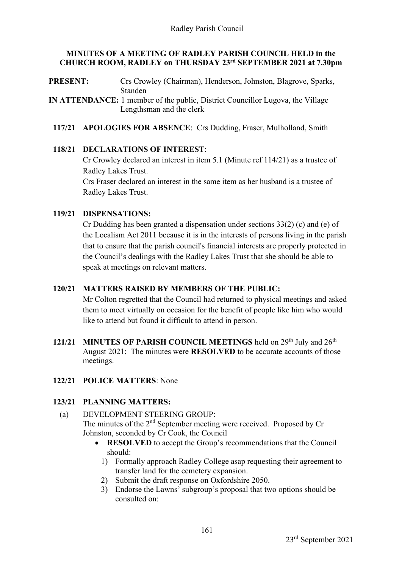#### **MINUTES OF A MEETING OF RADLEY PARISH COUNCIL HELD in the CHURCH ROOM, RADLEY on THURSDAY 23 rd SEPTEMBER 2021 at 7.30pm**

**PRESENT:** Crs Crowley (Chairman), Henderson, Johnston, Blagrove, Sparks, Standen

**IN ATTENDANCE:** 1 member of the public, District Councillor Lugova, the Village Lengthsman and the clerk

**117/21 APOLOGIES FOR ABSENCE**: Crs Dudding, Fraser, Mulholland, Smith

#### **118/21 DECLARATIONS OF INTEREST**:

Cr Crowley declared an interest in item 5.1 (Minute ref 114/21) as a trustee of Radley Lakes Trust.

Crs Fraser declared an interest in the same item as her husband is a trustee of Radley Lakes Trust.

#### **119/21 DISPENSATIONS:**

Cr Dudding has been granted a dispensation under sections 33(2) (c) and (e) of the Localism Act 2011 because it is in the interests of persons living in the parish that to ensure that the parish council's financial interests are properly protected in the Council's dealings with the Radley Lakes Trust that she should be able to speak at meetings on relevant matters.

### **120/21 MATTERS RAISED BY MEMBERS OF THE PUBLIC:**

Mr Colton regretted that the Council had returned to physical meetings and asked them to meet virtually on occasion for the benefit of people like him who would like to attend but found it difficult to attend in person.

**121/21 MINUTES OF PARISH COUNCIL MEETINGS** held on 29<sup>th</sup> July and 26<sup>th</sup> August 2021: The minutes were **RESOLVED** to be accurate accounts of those meetings.

### **122/21 POLICE MATTERS**: None

### **123/21 PLANNING MATTERS:**

- (a) DEVELOPMENT STEERING GROUP: The minutes of the  $2<sup>nd</sup>$  September meeting were received. Proposed by Cr Johnston, seconded by Cr Cook, the Council
	- **RESOLVED** to accept the Group's recommendations that the Council should:
		- 1) Formally approach Radley College asap requesting their agreement to transfer land for the cemetery expansion.
		- 2) Submit the draft response on Oxfordshire 2050.
		- 3) Endorse the Lawns' subgroup's proposal that two options should be consulted on: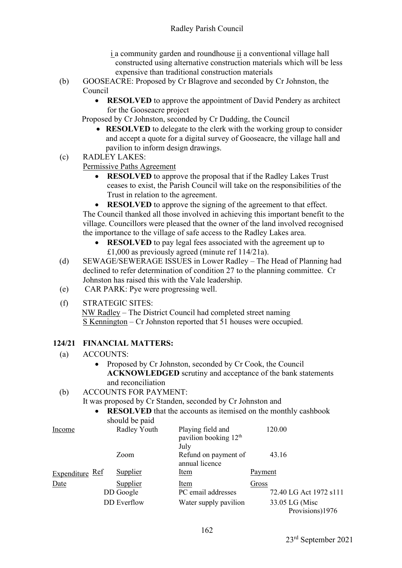- i a community garden and roundhouse ii a conventional village hall constructed using alternative construction materials which will be less expensive than traditional construction materials
- (b) GOOSEACRE: Proposed by Cr Blagrove and seconded by Cr Johnston, the Council
	- **RESOLVED** to approve the appointment of David Pendery as architect for the Gooseacre project

Proposed by Cr Johnston, seconded by Cr Dudding, the Council

- **RESOLVED** to delegate to the clerk with the working group to consider and accept a quote for a digital survey of Gooseacre, the village hall and pavilion to inform design drawings.
- (c) RADLEY LAKES:

Permissive Paths Agreement

- **RESOLVED** to approve the proposal that if the Radley Lakes Trust ceases to exist, the Parish Council will take on the responsibilities of the Trust in relation to the agreement.
- **RESOLVED** to approve the signing of the agreement to that effect.

The Council thanked all those involved in achieving this important benefit to the village. Councillors were pleased that the owner of the land involved recognised the importance to the village of safe access to the Radley Lakes area.

- **RESOLVED** to pay legal fees associated with the agreement up to £1,000 as previously agreed (minute ref 114/21a).
- (d) SEWAGE/SEWERAGE ISSUES in Lower Radley The Head of Planning had declined to refer determination of condition 27 to the planning committee. Cr Johnston has raised this with the Vale leadership.
- (e) CAR PARK: Pye were progressing well.
- (f) STRATEGIC SITES: NW Radley – The District Council had completed street naming S Kennington – Cr Johnston reported that 51 houses were occupied.

# **124/21 FINANCIAL MATTERS:**

- (a) ACCOUNTS:
	- Proposed by Cr Johnston, seconded by Cr Cook, the Council **ACKNOWLEDGED** scrutiny and acceptance of the bank statements and reconciliation
- (b) ACCOUNTS FOR PAYMENT:

It was proposed by Cr Standen, seconded by Cr Johnston and

• **RESOLVED** that the accounts as itemised on the monthly cashbook should be paid

| Income          | Radley Youth                                | Playing field and<br>pavilion booking 12 <sup>th</sup><br>July |         | 120.00                                                      |
|-----------------|---------------------------------------------|----------------------------------------------------------------|---------|-------------------------------------------------------------|
|                 | Zoom                                        | Refund on payment of<br>annual licence                         |         | 43.16                                                       |
| Expenditure Ref | Supplier                                    | <u>Item</u>                                                    | Payment |                                                             |
| Date            | Supplier<br>DD Google<br><b>DD</b> Everflow | Item<br>PC email addresses<br>Water supply pavilion            | Gross   | 72.40 LG Act 1972 s111<br>33.05 LG (Misc<br>Provisions)1976 |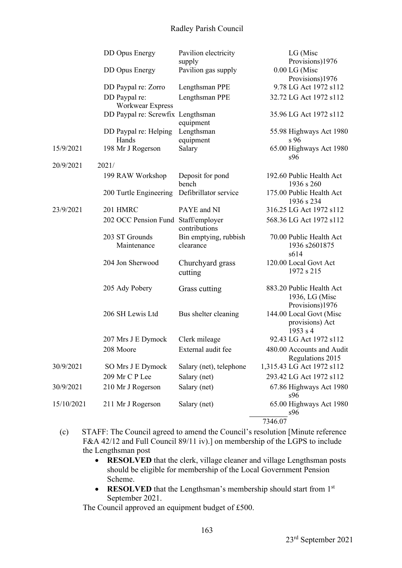## Radley Parish Council

|            | <b>DD</b> Opus Energy               | Pavilion electricity               | LG (Misc                                                                  |
|------------|-------------------------------------|------------------------------------|---------------------------------------------------------------------------|
|            |                                     | supply                             | Provisions)1976                                                           |
|            | <b>DD Opus Energy</b>               | Pavilion gas supply                | 0.00 LG (Misc                                                             |
|            |                                     |                                    | Provisions)1976                                                           |
|            | DD Paypal re: Zorro                 | Lengthsman PPE                     | 9.78 LG Act 1972 s112                                                     |
|            | DD Paypal re:<br>Workwear Express   | Lengthsman PPE                     | 32.72 LG Act 1972 s112                                                    |
|            | DD Paypal re: Screwfix Lengthsman   | equipment                          | 35.96 LG Act 1972 s112                                                    |
|            | DD Paypal re: Helping               | Lengthsman                         | 55.98 Highways Act 1980                                                   |
|            | Hands                               | equipment                          | s 96                                                                      |
| 15/9/2021  | 198 Mr J Rogerson                   | Salary                             | 65.00 Highways Act 1980<br>s96                                            |
| 20/9/2021  | 2021/                               |                                    |                                                                           |
|            | 199 RAW Workshop                    | Deposit for pond<br>bench          | 192.60 Public Health Act<br>1936 s 260                                    |
|            | 200 Turtle Engineering              | Defibrillator service              | 175.00 Public Health Act<br>1936 s 234                                    |
| 23/9/2021  | 201 HMRC                            | PAYE and NI                        | 316.25 LG Act 1972 s112                                                   |
|            | 202 OCC Pension Fund Staff/employer | contributions                      | 568.36 LG Act 1972 s112                                                   |
|            | 203 ST Grounds<br>Maintenance       | Bin emptying, rubbish<br>clearance | 70.00 Public Health Act<br>1936 s2601875<br>s614                          |
|            | 204 Jon Sherwood                    | Churchyard grass<br>cutting        | 120.00 Local Govt Act<br>1972 s 215                                       |
|            | 205 Ady Pobery                      | Grass cutting                      | 883.20 Public Health Act<br>1936, LG (Misc                                |
|            | 206 SH Lewis Ltd                    | Bus shelter cleaning               | Provisions)1976<br>144.00 Local Govt (Misc<br>provisions) Act<br>1953 s 4 |
|            | 207 Mrs J E Dymock                  | Clerk mileage                      | 92.43 LG Act 1972 s112                                                    |
|            | 208 Moore                           | External audit fee                 | 480.00 Accounts and Audit                                                 |
|            |                                     |                                    | Regulations 2015                                                          |
| 30/9/2021  | SO Mrs J E Dymock                   | Salary (net), telephone            | 1,315.43 LG Act 1972 s112                                                 |
|            | 209 Mr C P Lee                      | Salary (net)                       | 293.42 LG Act 1972 s112                                                   |
| 30/9/2021  | 210 Mr J Rogerson                   | Salary (net)                       | 67.86 Highways Act 1980<br>s96                                            |
| 15/10/2021 | 211 Mr J Rogerson                   | Salary (net)                       | 65.00 Highways Act 1980<br>s96                                            |
|            |                                     |                                    | 7346.07                                                                   |

- (c) STAFF: The Council agreed to amend the Council's resolution [Minute reference F&A 42/12 and Full Council 89/11 iv).] on membership of the LGPS to include the Lengthsman post
	- **RESOLVED** that the clerk, village cleaner and village Lengthsman posts should be eligible for membership of the Local Government Pension Scheme.
	- **RESOLVED** that the Lengthsman's membership should start from 1<sup>st</sup> September 2021.

The Council approved an equipment budget of £500.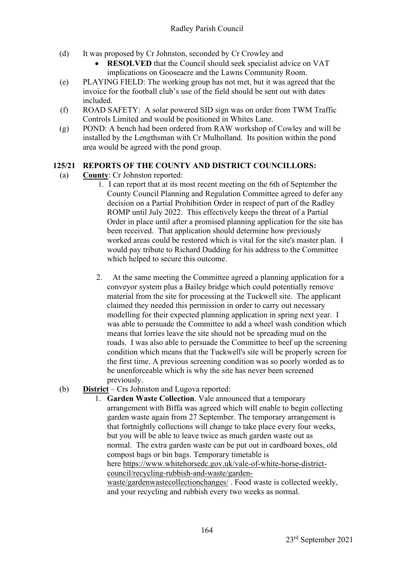- (d) It was proposed by Cr Johnston, seconded by Cr Crowley and
	- **RESOLVED** that the Council should seek specialist advice on VAT implications on Gooseacre and the Lawns Community Room.
- (e) PLAYING FIELD: The working group has not met, but it was agreed that the invoice for the football club's use of the field should be sent out with dates included.
- (f) ROAD SAFETY: A solar powered SID sign was on order from TWM Traffic Controls Limited and would be positioned in Whites Lane.
- (g) POND: A bench had been ordered from RAW workshop of Cowley and will be installed by the Lengthsman with Cr Mulholland. Its position within the pond area would be agreed with the pond group.

# **125/21 REPORTS OF THE COUNTY AND DISTRICT COUNCILLORS:**

- (a) **County**: Cr Johnston reported:
	- 1. I can report that at its most recent meeting on the 6th of September the County Council Planning and Regulation Committee agreed to defer any decision on a Partial Prohibition Order in respect of part of the Radley ROMP until July 2022. This effectively keeps the threat of a Partial Order in place until after a promised planning application for the site has been received. That application should determine how previously worked areas could be restored which is vital for the site's master plan. I would pay tribute to Richard Dudding for his address to the Committee which helped to secure this outcome.
	- 2. At the same meeting the Committee agreed a planning application for a conveyor system plus a Bailey bridge which could potentially remove material from the site for processing at the Tuckwell site. The applicant claimed they needed this permission in order to carry out necessary modelling for their expected planning application in spring next year. I was able to persuade the Committee to add a wheel wash condition which means that lorries leave the site should not be spreading mud on the roads. I was also able to persuade the Committee to beef up the screening condition which means that the Tuckwell's site will be properly screen for the first time. A previous screening condition was so poorly worded as to be unenforceable which is why the site has never been screened previously.

### (b) **District** – Crs Johnston and Lugova reported:

1. **Garden Waste Collection**. Vale announced that a temporary arrangement with Biffa was agreed which will enable to begin collecting garden waste again from 27 September. The temporary arrangement is that fortnightly collections will change to take place every four weeks, but you will be able to leave twice as much garden waste out as normal. The extra garden waste can be put out in cardboard boxes, old compost bags or bin bags. Temporary timetable is here [https://www.whitehorsedc.gov.uk/vale-of-white-horse-district](https://www.whitehorsedc.gov.uk/vale-of-white-horse-district-council/recycling-rubbish-and-waste/garden-waste/gardenwastecollectionchanges/)[council/recycling-rubbish-and-waste/garden](https://www.whitehorsedc.gov.uk/vale-of-white-horse-district-council/recycling-rubbish-and-waste/garden-waste/gardenwastecollectionchanges/)[waste/gardenwastecollectionchanges/](https://www.whitehorsedc.gov.uk/vale-of-white-horse-district-council/recycling-rubbish-and-waste/garden-waste/gardenwastecollectionchanges/) . Food waste is collected weekly, and your recycling and rubbish every two weeks as normal.